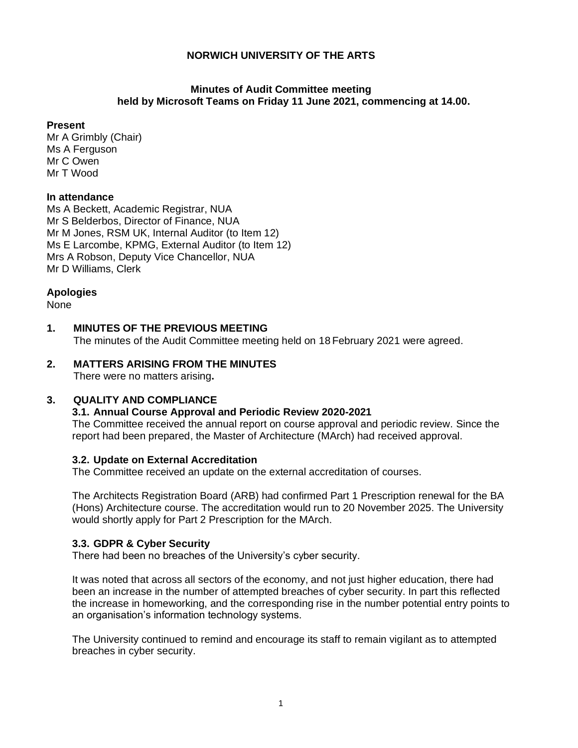#### **Minutes of Audit Committee meeting held by Microsoft Teams on Friday 11 June 2021, commencing at 14.00.**

#### **Present**

Mr A Grimbly (Chair) Ms A Ferguson Mr C Owen Mr T Wood

#### **In attendance**

Ms A Beckett, Academic Registrar, NUA Mr S Belderbos, Director of Finance, NUA Mr M Jones, RSM UK, Internal Auditor (to Item 12) Ms E Larcombe, KPMG, External Auditor (to Item 12) Mrs A Robson, Deputy Vice Chancellor, NUA Mr D Williams, Clerk

#### **Apologies**

None

### **1. MINUTES OF THE PREVIOUS MEETING**

The minutes of the Audit Committee meeting held on 18 February 2021 were agreed.

#### **2. MATTERS ARISING FROM THE MINUTES** There were no matters arising**.**

## **3. QUALITY AND COMPLIANCE**

#### **3.1. Annual Course Approval and Periodic Review 2020-2021**

The Committee received the annual report on course approval and periodic review. Since the report had been prepared, the Master of Architecture (MArch) had received approval.

#### **3.2. Update on External Accreditation**

The Committee received an update on the external accreditation of courses.

The Architects Registration Board (ARB) had confirmed Part 1 Prescription renewal for the BA (Hons) Architecture course. The accreditation would run to 20 November 2025. The University would shortly apply for Part 2 Prescription for the MArch.

#### **3.3. GDPR & Cyber Security**

There had been no breaches of the University's cyber security.

It was noted that across all sectors of the economy, and not just higher education, there had been an increase in the number of attempted breaches of cyber security. In part this reflected the increase in homeworking, and the corresponding rise in the number potential entry points to an organisation's information technology systems.

The University continued to remind and encourage its staff to remain vigilant as to attempted breaches in cyber security.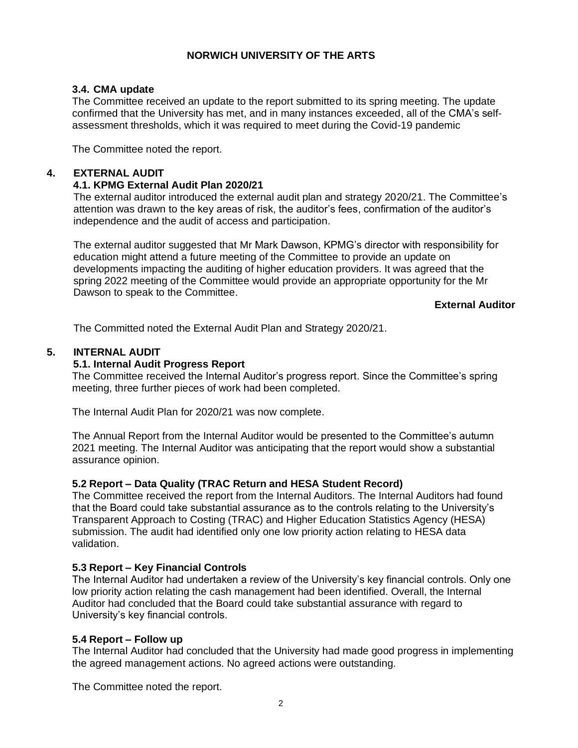# **3.4. CMA update**

The Committee received an update to the report submitted to its spring meeting. The update confirmed that the University has met, and in many instances exceeded, all of the CMA's selfassessment thresholds, which it was required to meet during the Covid-19 pandemic

The Committee noted the report.

# **4. EXTERNAL AUDIT**

# **4.1. KPMG External Audit Plan 2020/21**

The external auditor introduced the external audit plan and strategy 2020/21. The Committee's attention was drawn to the key areas of risk, the auditor's fees, confirmation of the auditor's independence and the audit of access and participation.

The external auditor suggested that Mr Mark Dawson, KPMG's director with responsibility for education might attend a future meeting of the Committee to provide an update on developments impacting the auditing of higher education providers. It was agreed that the spring 2022 meeting of the Committee would provide an appropriate opportunity for the Mr Dawson to speak to the Committee.

## **External Auditor**

The Committed noted the External Audit Plan and Strategy 2020/21.

## **5. INTERNAL AUDIT**

# **5.1. Internal Audit Progress Report**

The Committee received the Internal Auditor's progress report. Since the Committee's spring meeting, three further pieces of work had been completed.

The Internal Audit Plan for 2020/21 was now complete.

The Annual Report from the Internal Auditor would be presented to the Committee's autumn 2021 meeting. The Internal Auditor was anticipating that the report would show a substantial assurance opinion.

## **5.2 Report – Data Quality (TRAC Return and HESA Student Record)**

The Committee received the report from the Internal Auditors. The Internal Auditors had found that the Board could take substantial assurance as to the controls relating to the University's Transparent Approach to Costing (TRAC) and Higher Education Statistics Agency (HESA) submission. The audit had identified only one low priority action relating to HESA data validation.

## **5.3 Report – Key Financial Controls**

The Internal Auditor had undertaken a review of the University's key financial controls. Only one low priority action relating the cash management had been identified. Overall, the Internal Auditor had concluded that the Board could take substantial assurance with regard to University's key financial controls.

## **5.4 Report – Follow up**

The Internal Auditor had concluded that the University had made good progress in implementing the agreed management actions. No agreed actions were outstanding.

The Committee noted the report.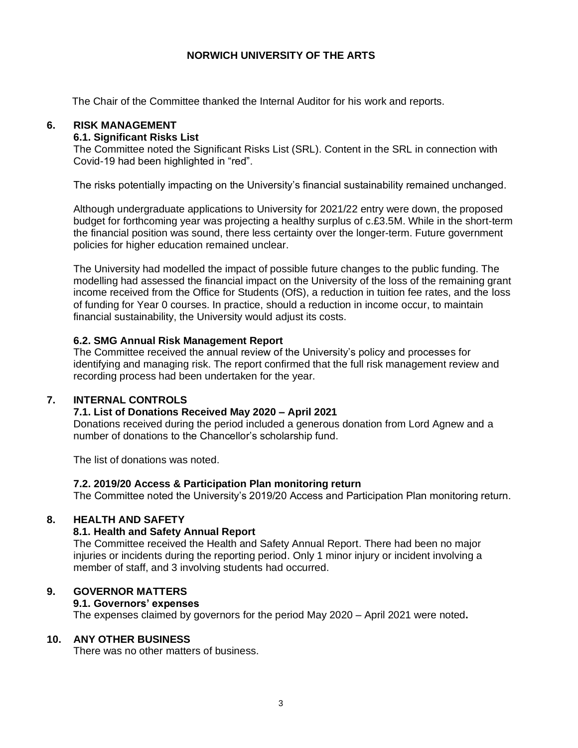The Chair of the Committee thanked the Internal Auditor for his work and reports.

### **6. RISK MANAGEMENT**

### **6.1. Significant Risks List**

The Committee noted the Significant Risks List (SRL). Content in the SRL in connection with Covid-19 had been highlighted in "red".

The risks potentially impacting on the University's financial sustainability remained unchanged.

Although undergraduate applications to University for 2021/22 entry were down, the proposed budget for forthcoming year was projecting a healthy surplus of c.£3.5M. While in the short-term the financial position was sound, there less certainty over the longer-term. Future government policies for higher education remained unclear.

The University had modelled the impact of possible future changes to the public funding. The modelling had assessed the financial impact on the University of the loss of the remaining grant income received from the Office for Students (OfS), a reduction in tuition fee rates, and the loss of funding for Year 0 courses. In practice, should a reduction in income occur, to maintain financial sustainability, the University would adjust its costs.

### **6.2. SMG Annual Risk Management Report**

The Committee received the annual review of the University's policy and processes for identifying and managing risk. The report confirmed that the full risk management review and recording process had been undertaken for the year.

## **7. INTERNAL CONTROLS**

#### **7.1. List of Donations Received May 2020 – April 2021**

Donations received during the period included a generous donation from Lord Agnew and a number of donations to the Chancellor's scholarship fund.

The list of donations was noted.

#### **7.2. 2019/20 Access & Participation Plan monitoring return**

The Committee noted the University's 2019/20 Access and Participation Plan monitoring return.

## **8. HEALTH AND SAFETY**

#### **8.1. Health and Safety Annual Report**

The Committee received the Health and Safety Annual Report. There had been no major injuries or incidents during the reporting period. Only 1 minor injury or incident involving a member of staff, and 3 involving students had occurred.

#### **9. GOVERNOR MATTERS**

#### **9.1. Governors' expenses**

The expenses claimed by governors for the period May 2020 – April 2021 were noted**.**

#### **10. ANY OTHER BUSINESS**

There was no other matters of business.